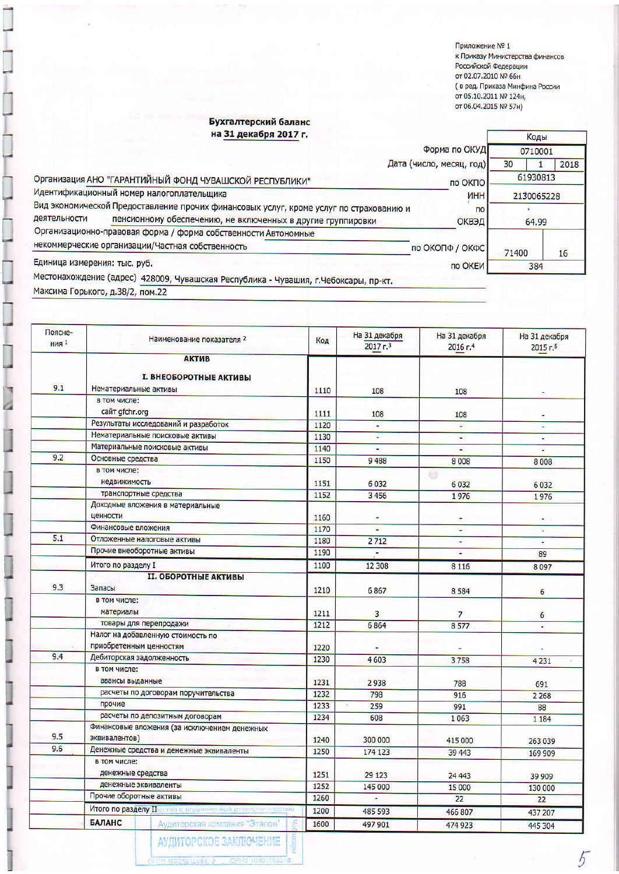Приложение № 1 нриложение на 1<br>к Приказу Министерства финансов<br>Российской Федерации<br>от 02.07.2010 № 66н от 02.07.2010 № 66н<br>( в ред. Приказа Минфина России<br>от 05.10.2011 № 124н,<br>от 06.04.2015 № 57н)

Коды

 $\overline{5}$ 

## Бухгалтерский баланс<br>на 31 декабря 2017 г.

|                                                                                                          |                                                                                     | Форма по ОКУД            |          | 0710001    |      |
|----------------------------------------------------------------------------------------------------------|-------------------------------------------------------------------------------------|--------------------------|----------|------------|------|
|                                                                                                          |                                                                                     | Дата (число, месяц, год) | 30       |            | 2018 |
| Организация АНО "ГАРАНТИЙНЫЙ ФОНД ЧУВАШСКОЙ РЕСПУБЛИКИ"                                                  |                                                                                     | по ОКПО                  | 61930813 |            |      |
|                                                                                                          | Идентификационный номер налогоплательщика                                           | <b>MHH</b>               |          | 2130065228 |      |
| Вид экономической Предоставление прочих финансовых услуг, кроме услуг по страхованию и<br>n <sub>o</sub> |                                                                                     |                          |          |            |      |
| деятельности                                                                                             | пенсионному обеспечению, не включенных в другие группировки                         | <b>ОКВЭД</b>             | 64.99    |            |      |
|                                                                                                          | Организационно-правовая форма / форма собственности Автономные                      |                          |          |            |      |
|                                                                                                          | некоммерческие организации/Частная собственность                                    | по ОКОПФ / ОКФС          | 71400    |            | 16   |
| Единица измерения: тыс. руб.                                                                             |                                                                                     | по ОКЕИ                  | 384      |            |      |
|                                                                                                          | Местонахождение (адрес) 428009, Чувашская Республика - Чувашия, г.Чебоксары, пр-кт. |                          |          |            |      |

Максима Горького, д.38/2, пом.22

 $\overline{a}$ 

| Поясне-<br><b>НИЯ</b> <sup>1</sup> | Наименование показателя 2                      | Код  | На 31 декабря<br>$2017 - 3$ | На 31 декабря<br>$2016$ г. <sup>4</sup> | На 31 декабря<br>2015r <sub>5</sub> |
|------------------------------------|------------------------------------------------|------|-----------------------------|-----------------------------------------|-------------------------------------|
|                                    | <b>АКТИВ</b>                                   |      |                             |                                         |                                     |
|                                    |                                                |      |                             |                                         |                                     |
|                                    | <b>I. ВНЕОБОРОТНЫЕ АКТИВЫ</b>                  |      |                             |                                         |                                     |
| 9.1                                | Нематериальные активы                          | 1110 | 108                         | 108                                     |                                     |
|                                    | в том числе:                                   |      |                             |                                         |                                     |
|                                    | сайт gfchr.org                                 | 1111 | 108                         | 108                                     |                                     |
|                                    | Результаты исследований и разработок           | 1120 | Ξ                           | ¥                                       | ٠                                   |
|                                    | Нематериальные поисковые активы                | 1130 | Ξ                           | 괔                                       | ٠                                   |
|                                    | Материальные поисковые активы                  | 1140 |                             |                                         | ÷                                   |
| 9.2                                | Основные средства                              | 1150 | 9488                        | 8008                                    | 8008                                |
|                                    | в том числе:                                   |      |                             | $\mathcal{L}$                           |                                     |
|                                    | <b>Н</b> едвижимость                           | 1151 | 6032                        | 6032                                    | 6032                                |
|                                    | транспортные средства                          | 1152 | 3456                        | 1976                                    | 1976                                |
|                                    | Доходные вложения в материальные               |      |                             |                                         |                                     |
|                                    | ценности                                       | 1160 |                             |                                         |                                     |
|                                    | Финансовые вложения                            | 1170 | ÷                           | ÷                                       | $\omega$                            |
| 5.1                                | Отложенные налоговые активы                    | 1180 | 2712                        |                                         |                                     |
|                                    | Прочие внеоборотные активы                     | 1190 | Ξ                           |                                         | 89                                  |
|                                    | Итого по разделу I                             | 1100 | 12 308                      | 8 1 1 6                                 | 8097                                |
|                                    | <b>II. ОБОРОТНЫЕ АКТИВЫ</b>                    |      |                             |                                         |                                     |
| 9.3                                | <b>Запасы</b>                                  | 1210 | 6867                        | 8 5 8 4                                 | 6                                   |
|                                    | в том числе:                                   |      |                             |                                         |                                     |
|                                    | материалы                                      | 1211 | $\overline{\mathbf{3}}$     | $\overline{7}$                          |                                     |
|                                    | товары для перепродажи                         | 1212 | 6864                        | 8577                                    | 6                                   |
|                                    | Налог на добавленную стоимость по              |      |                             |                                         | ٠                                   |
|                                    | приобретенным ценностям                        | 1220 |                             |                                         | ٠                                   |
| 9.4                                | Дебиторская задолженность                      | 1230 | 4603                        | 3758                                    | 4 2 3 1                             |
|                                    | в том числе:                                   |      |                             |                                         |                                     |
|                                    | авансы выданные                                | 1231 | 2938                        | 788                                     | 691                                 |
|                                    | расчеты по договорам поручительства            | 1232 | 798                         | 916                                     |                                     |
|                                    | прочие                                         | 1233 | 259                         | 991                                     | 2 2 6 8                             |
|                                    | расчеты по депозитным договорам                | 1234 | 608                         | 1063                                    | 88                                  |
|                                    | Финансовые вложения (за исключением денежных   |      |                             |                                         | 1 1 8 4                             |
| 9.5                                | эквивалентов)                                  | 1240 | 300 000                     | 415 000                                 | 263 039                             |
| 9.6                                | Денежные средства и денежные эквиваленты       | 1250 | 174 123                     | 39 443                                  |                                     |
|                                    | в том числе:                                   |      |                             |                                         | 169 909                             |
|                                    | денежные средства                              | 1251 | 29 1 23                     | 24 4 43                                 |                                     |
|                                    | денежные эквиваленты                           | 1252 | 145 000                     | 15 000                                  | 39 909                              |
|                                    | Прочие оборотные активы                        |      | ٠                           | 22                                      | 130 000                             |
|                                    | Итого по разделу II вство с ограниченной отв   | 1260 |                             |                                         | 22                                  |
|                                    |                                                | 1200 | 485 593                     | 466 807                                 | 437 207                             |
|                                    | <b>БАЛАНС</b><br>Аудиторская компания "Эталон" | 1600 | 497 901                     | 474 923                                 | 445 304                             |